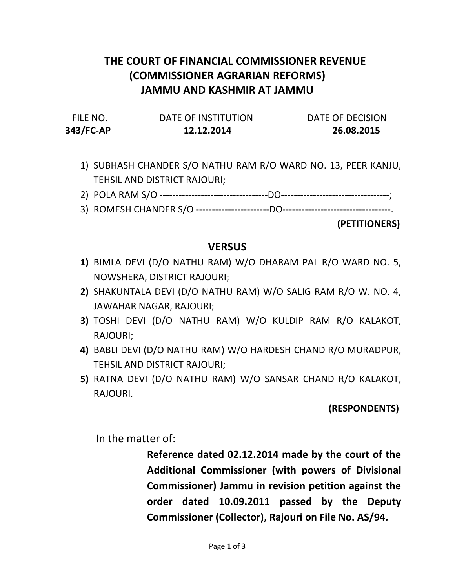# THE COURT OF FINANCIAL COMMISSIONER REVENUE (COMMISSIONER AGRARIAN REFORMS) JAMMU AND KASHMIR AT JAMMU

| FILE NO.  | DATE OF INSTITUTION | DATE OF DECISION |
|-----------|---------------------|------------------|
| 343/FC-AP | 12.12.2014          | 26.08.2015       |

- 1) SUBHASH CHANDER S/O NATHU RAM R/O WARD NO. 13, PEER KANJU, TEHSIL AND DISTRICT RAJOURI;
- 2) POLA RAM S/O ----------------------------------DO----------------------------------;
- 3) ROMESH CHANDER S/O -----------------------DO----------------------------------.

(PETITIONERS)

### **VERSUS**

- 1) BIMLA DEVI (D/O NATHU RAM) W/O DHARAM PAL R/O WARD NO. 5, NOWSHERA, DISTRICT RAJOURI;
- 2) SHAKUNTALA DEVI (D/O NATHU RAM) W/O SALIG RAM R/O W. NO. 4, JAWAHAR NAGAR, RAJOURI;
- 3) TOSHI DEVI (D/O NATHU RAM) W/O KULDIP RAM R/O KALAKOT, RAJOURI;
- 4) BABLI DEVI (D/O NATHU RAM) W/O HARDESH CHAND R/O MURADPUR, TEHSIL AND DISTRICT RAJOURI;
- 5) RATNA DEVI (D/O NATHU RAM) W/O SANSAR CHAND R/O KALAKOT, RAJOURI.

### (RESPONDENTS)

In the matter of:

Reference dated 02.12.2014 made by the court of the Additional Commissioner (with powers of Divisional Commissioner) Jammu in revision petition against the order dated 10.09.2011 passed by the Deputy Commissioner (Collector), Rajouri on File No. AS/94.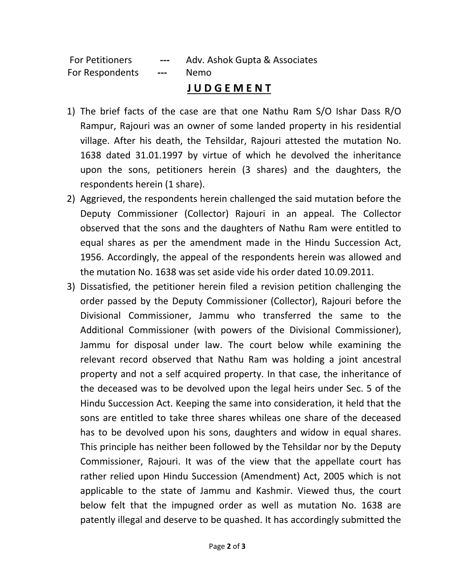For Petitioners --- Adv. Ashok Gupta & Associates For Respondents --- Nemo

## J U D G E M E N T

- 1) The brief facts of the case are that one Nathu Ram S/O Ishar Dass R/O Rampur, Rajouri was an owner of some landed property in his residential village. After his death, the Tehsildar, Rajouri attested the mutation No. 1638 dated 31.01.1997 by virtue of which he devolved the inheritance upon the sons, petitioners herein (3 shares) and the daughters, the respondents herein (1 share).
- 2) Aggrieved, the respondents herein challenged the said mutation before the Deputy Commissioner (Collector) Rajouri in an appeal. The Collector observed that the sons and the daughters of Nathu Ram were entitled to equal shares as per the amendment made in the Hindu Succession Act, 1956. Accordingly, the appeal of the respondents herein was allowed and the mutation No. 1638 was set aside vide his order dated 10.09.2011.
- 3) Dissatisfied, the petitioner herein filed a revision petition challenging the order passed by the Deputy Commissioner (Collector), Rajouri before the Divisional Commissioner, Jammu who transferred the same to the Additional Commissioner (with powers of the Divisional Commissioner), Jammu for disposal under law. The court below while examining the relevant record observed that Nathu Ram was holding a joint ancestral property and not a self acquired property. In that case, the inheritance of the deceased was to be devolved upon the legal heirs under Sec. 5 of the Hindu Succession Act. Keeping the same into consideration, it held that the sons are entitled to take three shares whileas one share of the deceased has to be devolved upon his sons, daughters and widow in equal shares. This principle has neither been followed by the Tehsildar nor by the Deputy Commissioner, Rajouri. It was of the view that the appellate court has rather relied upon Hindu Succession (Amendment) Act, 2005 which is not applicable to the state of Jammu and Kashmir. Viewed thus, the court below felt that the impugned order as well as mutation No. 1638 are patently illegal and deserve to be quashed. It has accordingly submitted the